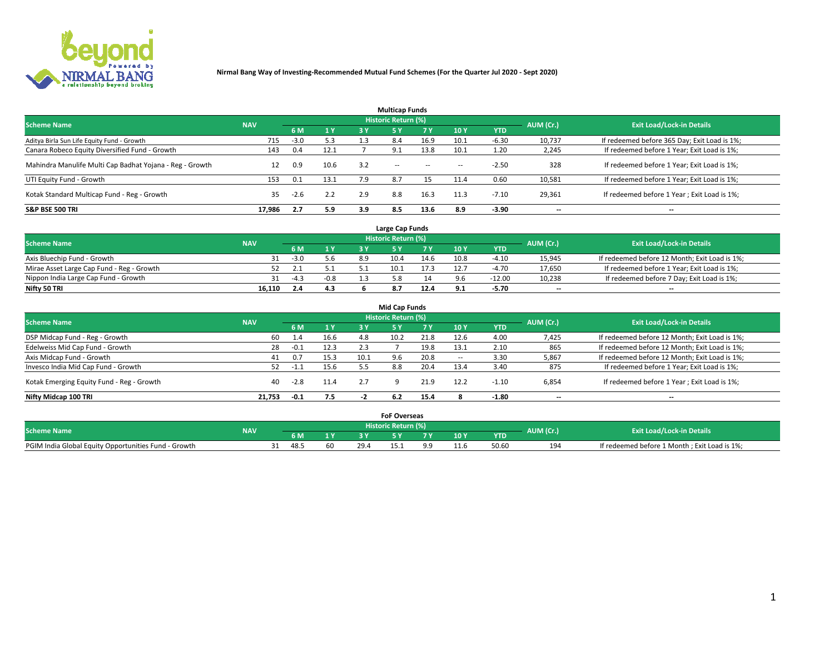

| <b>Multicap Funds</b>                                    |            |        |      |     |                     |           |                          |            |           |                                              |  |  |  |  |
|----------------------------------------------------------|------------|--------|------|-----|---------------------|-----------|--------------------------|------------|-----------|----------------------------------------------|--|--|--|--|
| <b>Scheme Name</b>                                       | <b>NAV</b> |        |      |     | Historic Return (%) |           |                          |            | AUM (Cr.) | <b>Exit Load/Lock-in Details</b>             |  |  |  |  |
|                                                          |            | 6 M    | 1 Y  | 3 Y | <b>5Y</b>           | <b>7Y</b> | 10Y                      | <b>YTD</b> |           |                                              |  |  |  |  |
| Aditya Birla Sun Life Equity Fund - Growth               | 715        | $-3.0$ | 5.3  | 1.3 | 8.4                 | 16.9      | 10.1                     | $-6.30$    | 10,737    | If redeemed before 365 Day; Exit Load is 1%; |  |  |  |  |
| Canara Robeco Equity Diversified Fund - Growth           | 143        | 0.4    | 12.1 |     | 9.1                 | 13.8      | 10.1                     | 1.20       | 2,245     | If redeemed before 1 Year; Exit Load is 1%;  |  |  |  |  |
| Mahindra Manulife Multi Cap Badhat Yojana - Reg - Growth |            | 0.9    | 10.6 | 3.2 | $\sim$ $-$          | $\sim$    | $\overline{\phantom{a}}$ | $-2.50$    | 328       | If redeemed before 1 Year; Exit Load is 1%;  |  |  |  |  |
| UTI Equity Fund - Growth                                 | 153        | 0.1    | 13.1 | 7.9 | 8.7                 |           | 11.4                     | 0.60       | 10,581    | If redeemed before 1 Year; Exit Load is 1%;  |  |  |  |  |
| Kotak Standard Multicap Fund - Reg - Growth              | 35         | $-2.6$ | 2.2  | 2.9 | 8.8                 | 16.3      | 11.3                     | $-7.10$    | 29,361    | If redeemed before 1 Year; Exit Load is 1%;  |  |  |  |  |
| <b>S&amp;P BSE 500 TRI</b>                               | 17.986     | 2.7    | 5.9  | 3.9 | 8.5                 | 13.6      | 8.9                      | $-3.90$    | --        | $- -$                                        |  |  |  |  |

|                                           |            |        |                |     | Large Cap Funds     |      |      |            |                          |                                               |
|-------------------------------------------|------------|--------|----------------|-----|---------------------|------|------|------------|--------------------------|-----------------------------------------------|
| <b>Scheme Name</b>                        | <b>NAV</b> |        |                |     | Historic Return (%) |      |      |            | AUM (Cr.)                | <b>Exit Load/Lock-in Details</b>              |
|                                           |            | 6 M    | 4 <sub>Y</sub> |     |                     |      | 10 Y | <b>YTD</b> |                          |                                               |
| Axis Bluechip Fund - Growth               |            | $-3.0$ | 5.6            | 8.9 | 10.4                | 14.6 | 10.8 | $-4.10$    | 15,945                   | If redeemed before 12 Month; Exit Load is 1%; |
| Mirae Asset Large Cap Fund - Reg - Growth |            |        |                |     | 10.1                | 17.3 |      | -4.70      | 17,650                   | If redeemed before 1 Year; Exit Load is 1%;   |
| Nippon India Large Cap Fund - Growth      |            | $-4.3$ | $-0.8$         |     |                     |      |      | $-12.00$   | 10,238                   | If redeemed before 7 Day; Exit Load is 1%;    |
| Nifty 50 TRI                              | 16.110     |        | 4.3            |     |                     | 12.4 |      | -5.70      | $\overline{\phantom{a}}$ | $\overline{\phantom{a}}$                      |

|                                           |            |        |      |      | <b>Mid Cap Funds</b> |           |                          |            |                          |                                               |
|-------------------------------------------|------------|--------|------|------|----------------------|-----------|--------------------------|------------|--------------------------|-----------------------------------------------|
| <b>Scheme Name</b>                        | <b>NAV</b> |        |      |      | Historic Return (%)  |           |                          |            | AUM (Cr.)                | <b>Exit Load/Lock-in Details</b>              |
|                                           |            | 6 M    | 1 Y  | 3 Y  |                      | <b>7Y</b> | 10Y                      | <b>YTD</b> |                          |                                               |
| DSP Midcap Fund - Reg - Growth            | 60         | 4.4    | 16.6 | 4.8  | 10.2                 | 21.8      | 12.6                     | 4.00       | 7,425                    | If redeemed before 12 Month; Exit Load is 1%; |
| Edelweiss Mid Cap Fund - Growth           | 28         | $-0.1$ | 12.3 | 2.3  |                      | 19.8      | 13.1                     | 2.10       | 865                      | If redeemed before 12 Month; Exit Load is 1%; |
| Axis Midcap Fund - Growth                 | 41         | 0.7    | 15.3 | 10.1 | 9.6                  | 20.8      | $\overline{\phantom{a}}$ | 3.30       | 5,867                    | If redeemed before 12 Month; Exit Load is 1%; |
| Invesco India Mid Cap Fund - Growth       |            | -1.1   | 15.6 |      | 8.8                  | 20.4      | 13.4                     | 3.40       | 875                      | If redeemed before 1 Year; Exit Load is 1%;   |
| Kotak Emerging Equity Fund - Reg - Growth | 40         | $-2.8$ | 11.4 | 2.7  |                      | 21.9      | 12.2                     | $-1.10$    | 6,854                    | If redeemed before 1 Year; Exit Load is 1%;   |
| Nifty Midcap 100 TRI                      | 21.753     | -0.1   | 7.5  | - -  |                      | 15.4      |                          | -1.80      | $\overline{\phantom{a}}$ | $- -$                                         |

|                                                      |            |      |      | <b>FoF Overseas</b>        |           |            |           |                                              |
|------------------------------------------------------|------------|------|------|----------------------------|-----------|------------|-----------|----------------------------------------------|
| <b>Scheme Name</b>                                   | <b>NAV</b> |      |      | <b>Historic Return (%)</b> |           |            | AUM (Cr.) | <b>Exit Load/Lock-in Details</b>             |
|                                                      |            | 6 M  |      |                            | 10Y       | <b>YTD</b> |           |                                              |
| PGIM India Global Equity Opportunities Fund - Growth |            | 48.5 | 29.4 |                            | $\pm 1.0$ | 50.60      | 194       | If redeemed before 1 Month; Exit Load is 1%; |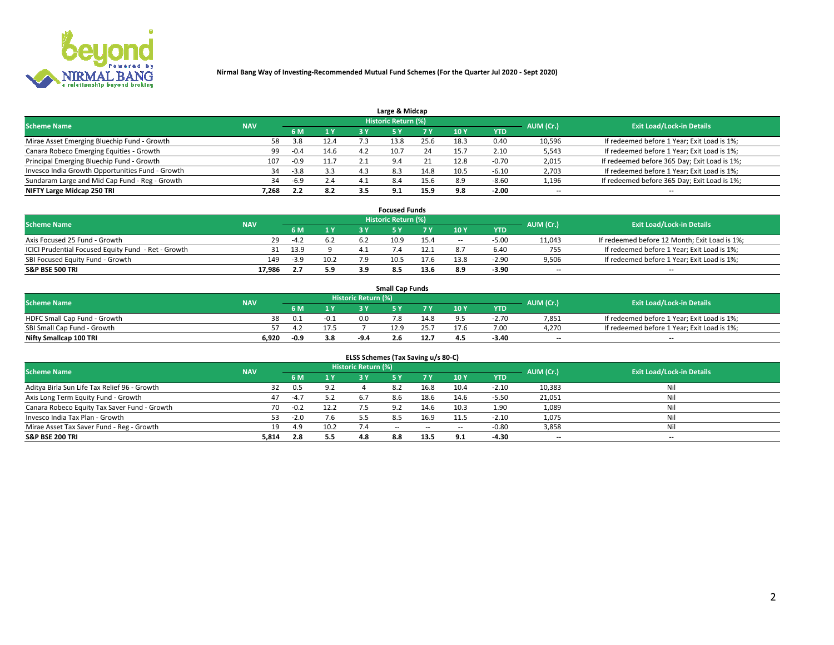

| Large & Midcap                                   |            |        |      |     |                     |      |      |            |                          |                                              |  |  |  |  |
|--------------------------------------------------|------------|--------|------|-----|---------------------|------|------|------------|--------------------------|----------------------------------------------|--|--|--|--|
| <b>Scheme Name</b>                               | <b>NAV</b> |        |      |     | Historic Return (%) |      |      |            | AUM (Cr.)                | <b>Exit Load/Lock-in Details</b>             |  |  |  |  |
|                                                  |            | 6 M    | 1 Y  |     |                     | 7 V  | 10Y  | <b>YTD</b> |                          |                                              |  |  |  |  |
| Mirae Asset Emerging Bluechip Fund - Growth      | 58         | 3.8    | 12.4 |     | 13.8                | 25.6 | 18.3 | 0.40       | 10,596                   | If redeemed before 1 Year; Exit Load is 1%;  |  |  |  |  |
| Canara Robeco Emerging Equities - Growth         | 99         | $-0.4$ | 14.6 |     | 10.7                | 24   | 15.  | 2.10       | 5,543                    | If redeemed before 1 Year; Exit Load is 1%;  |  |  |  |  |
| Principal Emerging Bluechip Fund - Growth        | 107        | $-0.9$ | 11.7 |     | 9.4                 |      | 12.8 | $-0.70$    | 2,015                    | If redeemed before 365 Day; Exit Load is 1%; |  |  |  |  |
| Invesco India Growth Opportunities Fund - Growth | 34         | $-3.8$ | 3.3  | 4.3 | 8.3                 | 14.8 | 10.5 | $-6.10$    | 2,703                    | If redeemed before 1 Year; Exit Load is 1%;  |  |  |  |  |
| Sundaram Large and Mid Cap Fund - Reg - Growth   | 34         | $-6.9$ | 2.4  |     | 8.4                 | 15.6 | 8.9  | $-8.60$    | 1,196                    | If redeemed before 365 Day; Exit Load is 1%; |  |  |  |  |
| NIFTY Large Midcap 250 TRI                       | 7.268      | 2.2    | 8.2  |     | 9.1                 | 15.9 | 9.8  | $-2.00$    | $\overline{\phantom{a}}$ | $- -$                                        |  |  |  |  |

|                                                     |            |        |      |     | <b>Focused Funds</b>       |      |        |            |                          |                                               |
|-----------------------------------------------------|------------|--------|------|-----|----------------------------|------|--------|------------|--------------------------|-----------------------------------------------|
| <b>Scheme Name</b>                                  | <b>NAV</b> |        |      |     | <b>Historic Return (%)</b> |      |        |            | AUM (Cr.)                | <b>Exit Load/Lock-in Details</b>              |
|                                                     |            | 6 M    | 1 Y  |     |                            |      | 10 Y   | <b>YTD</b> |                          |                                               |
| Axis Focused 25 Fund - Growth                       | 29         | $-4.2$ | 6.2  |     | 10.9                       | 15.4 | $\sim$ | $-5.00$    | 11,043                   | If redeemed before 12 Month; Exit Load is 1%; |
| ICICI Prudential Focused Equity Fund - Ret - Growth |            | 13.9   |      |     |                            |      |        | 6.40       | 755                      | If redeemed before 1 Year; Exit Load is 1%;   |
| SBI Focused Equity Fund - Growth                    | 149        | $-3.9$ | 10.2 |     | 10.5                       | 17.6 | 13.8   | $-2.90$    | 9,506                    | If redeemed before 1 Year; Exit Load is 1%;   |
| <b>S&amp;P BSE 500 TRI</b>                          | 17.986     |        | 5.9  | 3 Q |                            | 13.6 | 8.9    | $-3.90$    | $\overline{\phantom{a}}$ | $\hspace{0.05cm}$ – $\hspace{0.05cm}$         |

|                              |            |        |        |                     | <b>Small Cap Funds</b> |      |                 |            |           |                                             |
|------------------------------|------------|--------|--------|---------------------|------------------------|------|-----------------|------------|-----------|---------------------------------------------|
| <b>Scheme Name</b>           | <b>NAV</b> |        |        | Historic Return (%) |                        |      |                 |            | AUM (Cr.) | <b>Exit Load/Lock-in Details</b>            |
|                              |            | 6 M    | 1 Y    |                     |                        |      | 10 <sub>Y</sub> | <b>YTD</b> |           |                                             |
| HDFC Small Cap Fund - Growth |            |        | $-0.1$ | 0.0                 | 7.8                    | 14.8 |                 | $-2.70$    | 7,851     | If redeemed before 1 Year; Exit Load is 1%; |
| SBI Small Cap Fund - Growth  |            |        |        |                     | 12.9                   |      | 17.6            | 7.00       | 4.270     | If redeemed before 1 Year; Exit Load is 1%; |
| Nifty Smallcap 100 TRI       | 6.920      | $-0.9$ | 3.8    | -9.4                | 2.6                    | 12.  | 4.5             | $-3.40$    | $- -$     | $- -$                                       |

| ELSS Schemes (Tax Saving u/s 80-C)           |            |        |                |                            |            |        |                          |            |                          |                                  |  |  |  |
|----------------------------------------------|------------|--------|----------------|----------------------------|------------|--------|--------------------------|------------|--------------------------|----------------------------------|--|--|--|
| <b>Scheme Name</b>                           | <b>NAV</b> |        |                | <b>Historic Return (%)</b> |            |        |                          |            | AUM (Cr.)                | <b>Exit Load/Lock-in Details</b> |  |  |  |
|                                              |            | - 6 M  | 4 <sub>Y</sub> | 73 Y                       | <b>5Y</b>  | 7 Y    | 10 Y                     | <b>YTD</b> |                          |                                  |  |  |  |
| Aditya Birla Sun Life Tax Relief 96 - Growth | 32         | 0.5    |                |                            |            | 16.8   | 10.4                     | $-2.10$    | 10,383                   | Nil                              |  |  |  |
| Axis Long Term Equity Fund - Growth          | 47         | $-4.7$ | 5.2            | 6.7                        | 8.6        | 18.6   | 14.6                     | $-5.50$    | 21,051                   | Nil                              |  |  |  |
| Canara Robeco Equity Tax Saver Fund - Growth | 70         | $-0.2$ | 12.2           |                            | 9.2        | 14.6   | 10.3                     | 1.90       | 1,089                    | Nil                              |  |  |  |
| Invesco India Tax Plan - Growth              | 53.        | $-2.0$ | 7.6            |                            | 8.5        | 16.9   | 11.5                     | $-2.10$    | 1,075                    | Nil                              |  |  |  |
| Mirae Asset Tax Saver Fund - Reg - Growth    | 19         | 4.9    | 10.2           |                            | $\sim$ $-$ | $\sim$ | $\overline{\phantom{a}}$ | $-0.80$    | 3,858                    | Nil                              |  |  |  |
| S&P BSE 200 TRI                              | 5,814      | 2.8    | 5.5            | 4.8                        | 8.8        | 13.5   | 9.1                      | $-4.30$    | $\overline{\phantom{a}}$ | $- -$                            |  |  |  |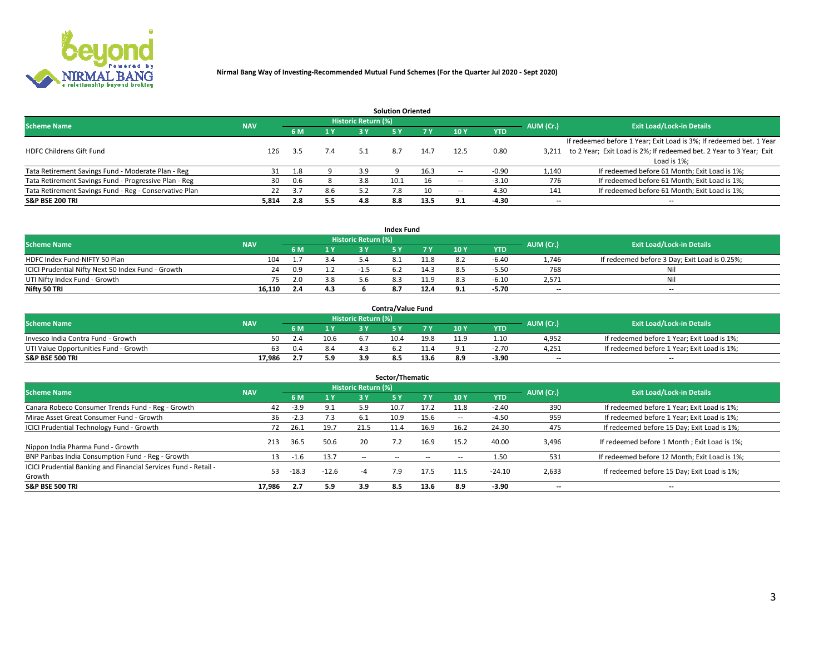

| <b>Solution Oriented</b>                               |            |            |     |                            |      |      |                          |            |                          |                                                                     |  |  |  |  |
|--------------------------------------------------------|------------|------------|-----|----------------------------|------|------|--------------------------|------------|--------------------------|---------------------------------------------------------------------|--|--|--|--|
| <b>Scheme Name</b>                                     | <b>NAV</b> |            |     | <b>Historic Return (%)</b> |      |      |                          |            | AUM (Cr.)                | <b>Exit Load/Lock-in Details</b>                                    |  |  |  |  |
|                                                        |            | <b>6 M</b> | 1 Y | 3 Y                        |      |      | 10Y                      | <b>YTD</b> |                          |                                                                     |  |  |  |  |
|                                                        |            |            |     |                            |      |      |                          |            |                          | If redeemed before 1 Year; Exit Load is 3%; If redeemed bet. 1 Year |  |  |  |  |
| <b>HDFC Childrens Gift Fund</b>                        | 126        | 3.5        | 7.4 | 5.1                        | 8.7  | 14.7 | 12.5                     | 0.80       | 3.211                    | to 2 Year; Exit Load is 2%; If redeemed bet. 2 Year to 3 Year; Exit |  |  |  |  |
|                                                        |            |            |     |                            |      |      |                          |            |                          | Load is 1%;                                                         |  |  |  |  |
| Tata Retirement Savings Fund - Moderate Plan - Reg     | 31         | 1.8        |     | 3.9                        |      | 16.3 | --                       | -0.90      | 1,140                    | If redeemed before 61 Month; Exit Load is 1%;                       |  |  |  |  |
| Tata Retirement Savings Fund - Progressive Plan - Reg  | 30         | 0.6        |     | 3.8                        | 10.1 | 16   | $\overline{\phantom{a}}$ | $-3.10$    | 776                      | If redeemed before 61 Month; Exit Load is 1%;                       |  |  |  |  |
| Tata Retirement Savings Fund - Reg - Conservative Plan | 22         | 3.7        | 8.6 | 57                         | 7.8  | 10   | --                       | 4.30       | 141                      | If redeemed before 61 Month; Exit Load is 1%;                       |  |  |  |  |
| S&P BSE 200 TRI                                        | 5,814      | 2.8        | 5.5 | 4.8                        | 8.8  | 13.5 | 9.1                      | $-4.30$    | $\overline{\phantom{a}}$ | $- -$                                                               |  |  |  |  |

|                                                    |            |     |     |                            | <b>Index Fund</b> |      |      |            |                          |                                               |
|----------------------------------------------------|------------|-----|-----|----------------------------|-------------------|------|------|------------|--------------------------|-----------------------------------------------|
| <b>Scheme Name</b>                                 | <b>NAV</b> |     |     | <b>Historic Return (%)</b> |                   |      |      |            | AUM (Cr.)                | <b>Exit Load/Lock-in Details</b>              |
|                                                    |            | 6 M | 1Y  | 2 V                        |                   |      | 10 Y | <b>YTD</b> |                          |                                               |
| HDFC Index Fund-NIFTY 50 Plan                      | 104        |     | 3.4 |                            |                   | 11.8 | 8.2  | $-6.40$    | 1,746                    | If redeemed before 3 Day; Exit Load is 0.25%; |
| ICICI Prudential Nifty Next 50 Index Fund - Growth |            | 0.9 |     |                            |                   | 14.3 |      | $-5.50$    | 768                      | Nil                                           |
| UTI Nifty Index Fund - Growth                      |            |     | 3.8 |                            |                   | 11.9 |      | $-6.10$    | 2,571                    | Nil                                           |
| Nifty 50 TRI                                       | 16.110     |     | 4.3 |                            |                   | 12.4 | ,    | -5.70      | $\overline{\phantom{a}}$ | $- -$                                         |

|                                       |            |     |      |                            | <b>Contra/Value Fund</b> |      |     |            |                          |                                             |
|---------------------------------------|------------|-----|------|----------------------------|--------------------------|------|-----|------------|--------------------------|---------------------------------------------|
| <b>Scheme Name</b>                    | <b>NAV</b> |     |      | <b>Historic Return (%)</b> |                          |      |     |            | AUM (Cr.)                | <b>Exit Load/Lock-in Details</b>            |
|                                       |            |     | 1 V  |                            |                          | 7 V  | 10Y | <b>YTD</b> |                          |                                             |
| Invesco India Contra Fund - Growth    | 50         |     | 10.6 |                            | 10.4                     | 19.8 |     | 1.10       | 4,952                    | If redeemed before 1 Year; Exit Load is 1%; |
| UTI Value Opportunities Fund - Growth | 63         | 0.4 | 8.4  |                            |                          |      |     | -2.70      | 4,251                    | If redeemed before 1 Year; Exit Load is 1%; |
| <b>S&amp;P BSE 500 TRI</b>            | 17.986     |     | 5.9  |                            |                          | 13.6 |     | $-3.90$    | $\overline{\phantom{a}}$ | $- -$                                       |

| Sector/Thematic                                                           |            |         |                |                     |            |        |                          |            |           |                                               |  |  |  |
|---------------------------------------------------------------------------|------------|---------|----------------|---------------------|------------|--------|--------------------------|------------|-----------|-----------------------------------------------|--|--|--|
| <b>Scheme Name</b>                                                        | <b>NAV</b> |         |                | Historic Return (%) |            |        |                          |            | AUM (Cr.) | <b>Exit Load/Lock-in Details</b>              |  |  |  |
|                                                                           |            | 6 M     | 1 <sub>Y</sub> | 3 Y                 | <b>5Y</b>  | 7 Y    | 10Y                      | <b>YTD</b> |           |                                               |  |  |  |
| Canara Robeco Consumer Trends Fund - Reg - Growth                         | 42         | $-3.9$  | 9.1            | 5.9                 | 10.7       | 17.2   | 11.8                     | $-2.40$    | 390       | If redeemed before 1 Year; Exit Load is 1%;   |  |  |  |
| Mirae Asset Great Consumer Fund - Growth                                  | 36         | $-2.3$  | 7.3            | 6.1                 | 10.9       | 15.6   | $\overline{\phantom{a}}$ | $-4.50$    | 959       | If redeemed before 1 Year; Exit Load is 1%;   |  |  |  |
| <b>ICICI Prudential Technology Fund - Growth</b>                          | 72         | 26.1    | 19.7           | 21.5                | 11.4       | 16.9   | 16.2                     | 24.30      | 475       | If redeemed before 15 Day; Exit Load is 1%;   |  |  |  |
| Nippon India Pharma Fund - Growth                                         | 213        | 36.5    | 50.6           | 20                  |            | 16.9   | 15.2                     | 40.00      | 3,496     | If redeemed before 1 Month; Exit Load is 1%;  |  |  |  |
| BNP Paribas India Consumption Fund - Reg - Growth                         | 13         | $-1.6$  | 13.7           | $\sim$ $\sim$       | $\sim$ $-$ | $\sim$ | $\sim$                   | 1.50       | 531       | If redeemed before 12 Month; Exit Load is 1%; |  |  |  |
| ICICI Prudential Banking and Financial Services Fund - Retail -<br>Growth | 53         | $-18.3$ | $-12.6$        | -4                  | 7.9        | 17.5   | 11.5                     | $-24.10$   | 2,633     | If redeemed before 15 Day; Exit Load is 1%;   |  |  |  |
| <b>S&amp;P BSE 500 TRI</b>                                                | 17.986     | 2.7     | 5.9            | 3.9                 | 8.5        | 13.6   | -8.9                     | $-3.90$    | --        | $- -$                                         |  |  |  |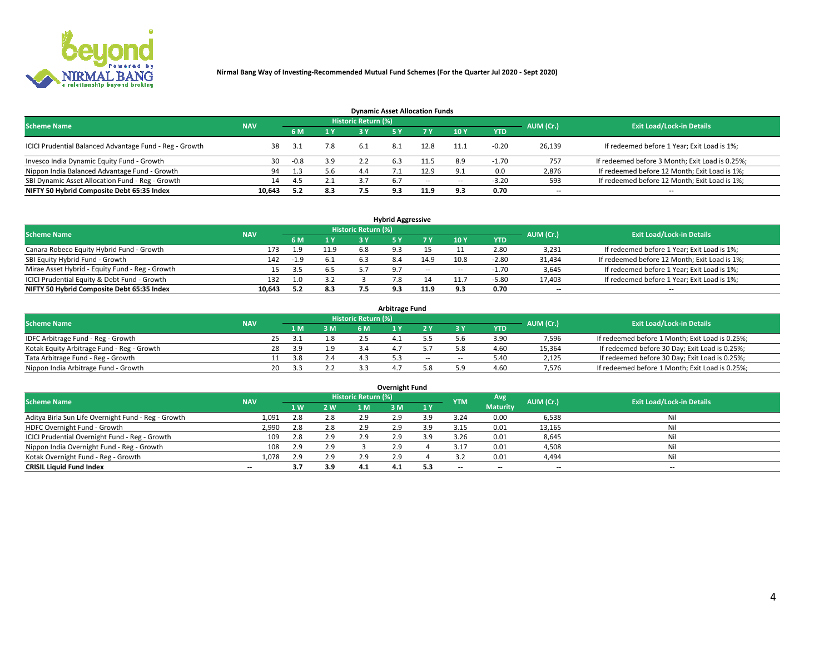

| <b>Dynamic Asset Allocation Funds</b>                   |            |        |     |                            |     |        |                          |            |           |                                                 |  |  |  |  |
|---------------------------------------------------------|------------|--------|-----|----------------------------|-----|--------|--------------------------|------------|-----------|-------------------------------------------------|--|--|--|--|
| <b>Scheme Name</b>                                      | <b>NAV</b> |        |     | <b>Historic Return (%)</b> |     |        |                          |            | AUM (Cr.) | <b>Exit Load/Lock-in Details</b>                |  |  |  |  |
|                                                         |            | 6 M    | 1 Y |                            |     |        | $-10Y$                   | <b>YTD</b> |           |                                                 |  |  |  |  |
| ICICI Prudential Balanced Advantage Fund - Reg - Growth |            | 3.1    | 7.8 | 6.1                        | 8.1 | 12.8   | 11.1                     | $-0.20$    | 26,139    | If redeemed before 1 Year; Exit Load is 1%;     |  |  |  |  |
| Invesco India Dynamic Equity Fund - Growth              | 30         | $-0.8$ | 3.9 |                            | 6.3 | 11.5   | 8.9                      | $-1.70$    | 757       | If redeemed before 3 Month; Exit Load is 0.25%; |  |  |  |  |
| Nippon India Balanced Advantage Fund - Growth           | 94         | 1.3    | 5.6 | 4.4                        |     | 12.9   |                          | 0.0        | 2,876     | If redeemed before 12 Month; Exit Load is 1%;   |  |  |  |  |
| SBI Dynamic Asset Allocation Fund - Reg - Growth        | 14         | 4.5    | 2.1 | 3.7                        | 6.7 | $\sim$ | $\overline{\phantom{a}}$ | $-3.20$    | 593       | If redeemed before 12 Month; Exit Load is 1%;   |  |  |  |  |
| NIFTY 50 Hybrid Composite Debt 65:35 Index              | 10,643     | 5.2    | 8.3 | 7.5                        | 9.3 | 11.9   | 9.3                      | 0.70       | $- -$     | $- -$                                           |  |  |  |  |

| <b>Hybrid Aggressive</b>                        |            |        |      |                     |       |        |                          |            |                          |                                               |  |  |  |  |
|-------------------------------------------------|------------|--------|------|---------------------|-------|--------|--------------------------|------------|--------------------------|-----------------------------------------------|--|--|--|--|
| <b>Scheme Name</b>                              | <b>NAV</b> |        |      | Historic Return (%) |       |        |                          |            | AUM (Cr.)                | <b>Exit Load/Lock-in Details</b>              |  |  |  |  |
|                                                 |            | 6 M    | 1 Y  | RУ                  |       |        | 10Y                      | <b>YTD</b> |                          |                                               |  |  |  |  |
| Canara Robeco Equity Hybrid Fund - Growth       | 173        | 9.ء    | 11.9 | 6.8                 |       |        |                          | 2.80       | 3,231                    | If redeemed before 1 Year; Exit Load is 1%;   |  |  |  |  |
| SBI Equity Hybrid Fund - Growth                 | 142        | $-1.9$ | 6.1  |                     |       | 14.9   | 10.8                     | $-2.80$    | 31,434                   | If redeemed before 12 Month; Exit Load is 1%; |  |  |  |  |
| Mirae Asset Hybrid - Equity Fund - Reg - Growth | 15.        | 3.5    | 6.5  |                     | - Q 7 | $\sim$ | $\overline{\phantom{a}}$ | $-1.70$    | 3,645                    | If redeemed before 1 Year; Exit Load is 1%;   |  |  |  |  |
| ICICI Prudential Equity & Debt Fund - Growth    | 132        | 1.0    | 3.2  |                     |       |        | 11.                      | $-5.80$    | 17,403                   | If redeemed before 1 Year; Exit Load is 1%;   |  |  |  |  |
| NIFTY 50 Hybrid Composite Debt 65:35 Index      | 10.643     | 5.2    | 8.3  |                     |       | 11.9   |                          | 0.70       | $\overline{\phantom{a}}$ | $- -$                                         |  |  |  |  |

| <b>Arbitrage Fund</b>                      |            |           |     |                     |  |        |        |            |           |                                                 |  |  |  |  |
|--------------------------------------------|------------|-----------|-----|---------------------|--|--------|--------|------------|-----------|-------------------------------------------------|--|--|--|--|
| <b>Scheme Name</b>                         | <b>NAV</b> |           |     | Historic Return (%) |  |        |        |            | AUM (Cr.) | <b>Exit Load/Lock-in Details</b>                |  |  |  |  |
|                                            |            | LΜ        | 3 M | <b>6M</b>           |  |        |        | <b>YTD</b> |           |                                                 |  |  |  |  |
| IDFC Arbitrage Fund - Reg - Growth         |            | 25<br>-31 |     |                     |  |        |        | 3.90       | 7,596     | If redeemed before 1 Month; Exit Load is 0.25%; |  |  |  |  |
| Kotak Equity Arbitrage Fund - Reg - Growth |            | 28<br>3.9 |     |                     |  |        |        | 4.60       | 15,364    | If redeemed before 30 Day; Exit Load is 0.25%;  |  |  |  |  |
| Tata Arbitrage Fund - Reg - Growth         |            | 3.8       | 2.4 |                     |  | $\sim$ | $\sim$ | 5.40       | 2,125     | If redeemed before 30 Day; Exit Load is 0.25%;  |  |  |  |  |
| Nippon India Arbitrage Fund - Growth       |            | 20        |     |                     |  |        | : ۵    | 4.60       | 7.576     | If redeemed before 1 Month; Exit Load is 0.25%; |  |  |  |  |

| Overnight Fund                                      |            |     |     |                     |     |     |            |                 |                          |                                  |  |  |  |  |
|-----------------------------------------------------|------------|-----|-----|---------------------|-----|-----|------------|-----------------|--------------------------|----------------------------------|--|--|--|--|
| <b>Scheme Name</b>                                  | <b>NAV</b> |     |     | Historic Return (%) |     |     | <b>YTM</b> | Avg             | AUM (Cr.)                | <b>Exit Load/Lock-in Details</b> |  |  |  |  |
|                                                     |            | 1 W | 2 W | 1 M                 | : M | 1Y  |            | <b>Maturity</b> |                          |                                  |  |  |  |  |
| Aditya Birla Sun Life Overnight Fund - Reg - Growth | 1,091      | 2.8 | 2.8 | 2.9                 | 2.9 | 3.9 | 3.24       | 0.00            | 6,538                    | Nil                              |  |  |  |  |
| HDFC Overnight Fund - Growth                        | 2,990      | 2.8 | 2.8 | 2.9                 | 2.9 | ıа  | 3.15       | 0.01            | 13,165                   | Nil                              |  |  |  |  |
| ICICI Prudential Overnight Fund - Reg - Growth      | 109        | 2.8 | 2.9 | 2.9                 | 2.5 | ıа  | 3.26       | 0.01            | 8,645                    | Nil                              |  |  |  |  |
| Nippon India Overnight Fund - Reg - Growth          | 108        | 2.9 | 2.9 |                     | 2.9 |     | 3.17       | 0.01            | 4,508                    | Nil                              |  |  |  |  |
| Kotak Overnight Fund - Reg - Growth                 | 1,078      | 2.9 | 2.9 | 2.9                 | 2.9 |     |            | 0.01            | 4,494                    | Nil                              |  |  |  |  |
| <b>CRISIL Liquid Fund Index</b>                     | $- -$      | 3.7 | 3.9 | 4.1                 | 4.1 |     | --         | $- -$           | $\overline{\phantom{a}}$ | $- -$                            |  |  |  |  |

### **Overnight Fund**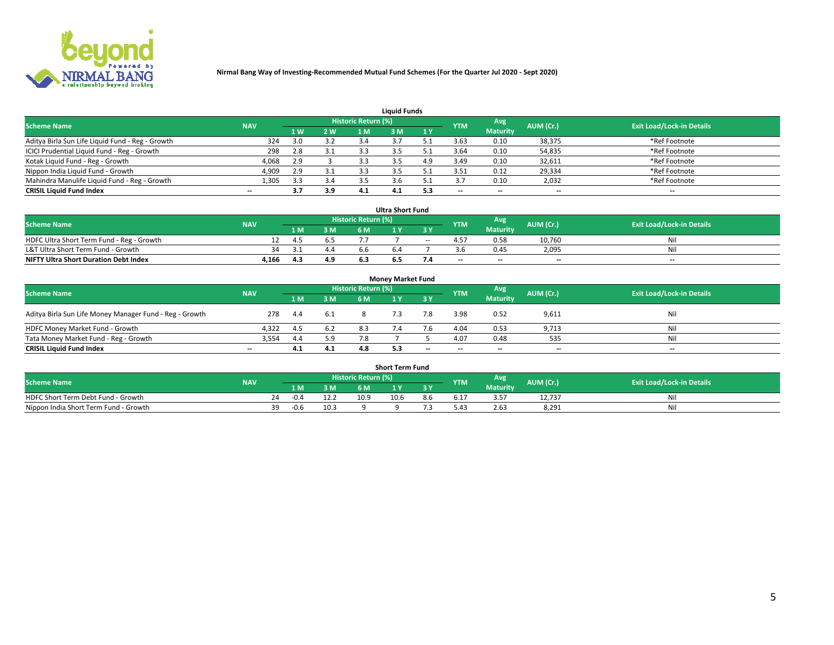

| <b>Liquid Funds</b>                              |            |     |     |                            |     |     |            |                 |                          |                                  |  |  |  |  |
|--------------------------------------------------|------------|-----|-----|----------------------------|-----|-----|------------|-----------------|--------------------------|----------------------------------|--|--|--|--|
| <b>Scheme Name</b>                               | <b>NAV</b> |     |     | <b>Historic Return (%)</b> |     |     | <b>YTM</b> | Avg             | AUM (Cr.)                | <b>Exit Load/Lock-in Details</b> |  |  |  |  |
|                                                  |            | 1 W | 2 W | 1 M                        | : M | 1Y  |            | <b>Maturity</b> |                          |                                  |  |  |  |  |
| Aditya Birla Sun Life Liquid Fund - Reg - Growth | 324        | 3.0 | 3.2 | 3.4                        |     |     | 3.63       | 0.10            | 38,375                   | *Ref Footnote                    |  |  |  |  |
| ICICI Prudential Liquid Fund - Reg - Growth      | 298        | 2.8 | 3.1 |                            |     |     | 3.64       | 0.10            | 54,835                   | *Ref Footnote                    |  |  |  |  |
| Kotak Liquid Fund - Reg - Growth                 | 4,068      | 2.9 |     |                            |     | 4.9 | 3.49       | 0.10            | 32,611                   | *Ref Footnote                    |  |  |  |  |
| Nippon India Liquid Fund - Growth                | 4,909      | 2.9 | 3.1 |                            |     |     | 3.51       | 0.12            | 29,334                   | *Ref Footnote                    |  |  |  |  |
| Mahindra Manulife Liquid Fund - Reg - Growth     | 1,305      | 3.3 | 3.4 |                            |     |     |            | 0.10            | 2,032                    | *Ref Footnote                    |  |  |  |  |
| <b>CRISIL Liquid Fund Index</b>                  | $- -$      | 3.7 | 3.9 | 4.1                        | 4.1 | 5.3 | $- -$      | $- -$           | $\overline{\phantom{a}}$ | $\hspace{0.05cm} \cdots$         |  |  |  |  |

| <b>Ultra Short Fund</b>                      |            |     |     |                            |     |            |                          |                 |                          |                                  |  |  |  |
|----------------------------------------------|------------|-----|-----|----------------------------|-----|------------|--------------------------|-----------------|--------------------------|----------------------------------|--|--|--|
| <b>Scheme Name</b>                           | <b>NAV</b> |     |     | <b>Historic Return (%)</b> |     |            | <b>YTM</b>               | <b>Avg</b>      | AUM (Cr.)                | <b>Exit Load/Lock-in Details</b> |  |  |  |
|                                              |            | 1 M | 3 M | 6 M                        |     | 3 Y        |                          | <b>Maturity</b> |                          |                                  |  |  |  |
| HDFC Ultra Short Term Fund - Reg - Growth    |            | 4.5 | 6.5 |                            |     | $\sim$ $-$ |                          | 0.58            | 10.760                   | Nil                              |  |  |  |
| L&T Ultra Short Term Fund - Growth           | 34         |     | 4.4 | h h                        |     |            |                          | 0.45            | 2,095                    | Nil                              |  |  |  |
| <b>NIFTY Ultra Short Duration Debt Index</b> | 4,166      | 4.3 | 4.9 |                            | כ.ס |            | $\overline{\phantom{a}}$ | $- -$           | $\overline{\phantom{a}}$ | $- -$                            |  |  |  |

| <b>Monev Market Fund</b>                                |            |      |     |                     |     |                          |            |                 |                          |                                  |  |  |  |  |
|---------------------------------------------------------|------------|------|-----|---------------------|-----|--------------------------|------------|-----------------|--------------------------|----------------------------------|--|--|--|--|
| <b>Scheme Name</b>                                      | <b>NAV</b> |      |     | Historic Return (%) |     |                          | <b>YTM</b> | 'Avg            | AUM (Cr.)                | <b>Exit Load/Lock-in Details</b> |  |  |  |  |
|                                                         |            | 1 M  | 3 M | 6 M                 |     | 3 Y                      |            | <b>Maturity</b> |                          |                                  |  |  |  |  |
| Aditya Birla Sun Life Money Manager Fund - Reg - Growth | 278        | 4.4  | 6.1 |                     |     |                          | 3.98       | 0.52            | 9,611                    | Nil                              |  |  |  |  |
| HDFC Money Market Fund - Growth                         | 4.322      | -4.5 | 6.2 |                     |     |                          | 4.04       | 0.53            | 9,713                    | Nil                              |  |  |  |  |
| Tata Money Market Fund - Reg - Growth                   | 3,554      | 4.4  | 5.9 | 7.8                 |     |                          | 4.07       | 0.48            | 535                      | Nil                              |  |  |  |  |
| <b>CRISIL Liquid Fund Index</b>                         | $- -$      | 4.1  | 4.1 | 4.8                 | 5.3 | $\overline{\phantom{a}}$ | --         | $-$             | $\overline{\phantom{a}}$ | $- -$                            |  |  |  |  |

|                                       |            |        |      |                     | <b>Short Term Fund</b> |     |      |                 |           |                                  |
|---------------------------------------|------------|--------|------|---------------------|------------------------|-----|------|-----------------|-----------|----------------------------------|
| <b>Scheme Name</b>                    | <b>NAV</b> |        |      | Historic Return (%) |                        |     | YTM  | Avg             | AUM (Cr.) | <b>Exit Load/Lock-in Details</b> |
|                                       |            | 1 M .  | 3 M  | 6 M                 |                        | 2V  |      | <b>Maturity</b> |           |                                  |
| HDFC Short Term Debt Fund - Growth    | 24         | $-0.4$ |      | 10.9                | 10.6                   | 8.b | 17.د |                 | 12,737    | M                                |
| Nippon India Short Term Fund - Growth | 39         | $-0.6$ | 10.3 |                     |                        |     | 0.42 | 2.63            | 8,291     | N                                |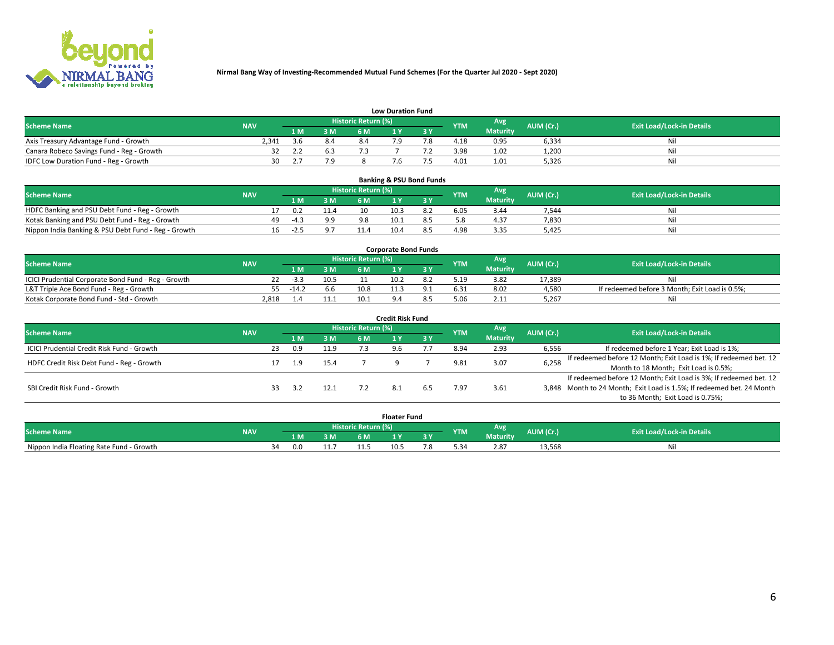

|                                           | <b>Low Duration Fund</b> |           |     |                     |  |     |            |                 |           |                                  |  |  |  |  |  |
|-------------------------------------------|--------------------------|-----------|-----|---------------------|--|-----|------------|-----------------|-----------|----------------------------------|--|--|--|--|--|
| <b>Scheme Name</b>                        | <b>NAV</b>               |           |     | Historic Return (%) |  |     | <b>YTM</b> | Avg             | AUM (Cr.) | <b>Exit Load/Lock-in Details</b> |  |  |  |  |  |
|                                           |                          | L M.      | 3 M |                     |  | 3 Y |            | <b>Maturity</b> |           |                                  |  |  |  |  |  |
| Axis Treasury Advantage Fund - Growth     | 2.341                    | <b>Kh</b> | 8.4 |                     |  |     | 4.18       | 0.95            | 6,334     | Nil                              |  |  |  |  |  |
| Canara Robeco Savings Fund - Reg - Growth |                          |           | 6.3 |                     |  |     | 3.98       | 1.02            | 1,200     | Nil                              |  |  |  |  |  |
| IDFC Low Duration Fund - Reg - Growth     | ว∩                       |           |     |                     |  |     | 4.01       | 1.01            | 5,326     | Nil                              |  |  |  |  |  |

| <b>Banking &amp; PSU Bond Funds</b>                 |            |    |        |      |                     |      |     |            |                 |           |                                  |  |  |  |
|-----------------------------------------------------|------------|----|--------|------|---------------------|------|-----|------------|-----------------|-----------|----------------------------------|--|--|--|
| <b>Scheme Name</b>                                  | <b>NAV</b> |    |        |      | Historic Return (%) |      |     | <b>YTM</b> | Avg             | AUM (Cr.) | <b>Exit Load/Lock-in Details</b> |  |  |  |
|                                                     |            |    | 1 M    | 3 M  | 6 M                 |      | 3 Y |            | <b>Maturity</b> |           |                                  |  |  |  |
| HDFC Banking and PSU Debt Fund - Reg - Growth       |            |    | 0.2    | 11.4 | 10                  | 10.3 |     | 6.05       | 3.44            | 7,544     | Ni                               |  |  |  |
| Kotak Banking and PSU Debt Fund - Reg - Growth      |            | 49 | $-4.3$ | 9.9  | 98                  | 10.1 |     |            | 4.37            | 7,830     | Ni                               |  |  |  |
| Nippon India Banking & PSU Debt Fund - Reg - Growth |            | 16 | $-2.5$ |      | 11.4                | 10.4 |     | 4.98       | 3.35            | 5.425     | Ni                               |  |  |  |

| <b>Corporate Bond Funds</b>                         |            |         |      |                            |      |     |            |                 |           |                                                |  |  |  |  |
|-----------------------------------------------------|------------|---------|------|----------------------------|------|-----|------------|-----------------|-----------|------------------------------------------------|--|--|--|--|
| <b>Scheme Name</b>                                  | <b>NAV</b> |         |      | <b>Historic Return (%)</b> |      |     | <b>YTM</b> | Avg             | AUM (Cr.) | <b>Exit Load/Lock-in Details</b>               |  |  |  |  |
|                                                     |            | 1 M     | 3 M  | <b>6M</b>                  |      | 3 Y |            | <b>Maturity</b> |           |                                                |  |  |  |  |
| ICICI Prudential Corporate Bond Fund - Reg - Growth |            | -3.3    | 10.5 |                            | 10.2 |     |            | 3.82            | 17.389    |                                                |  |  |  |  |
| L&T Triple Ace Bond Fund - Reg - Growth             |            | $-14.2$ | 6.6  | 10.8                       | 11.3 |     | 6.31       | 8.02            | 4,580     | If redeemed before 3 Month; Exit Load is 0.5%; |  |  |  |  |
| Kotak Corporate Bond Fund - Std - Growth            | 2.818      |         |      | 10.1                       |      |     |            | 2.11            | 5.267     | Nil                                            |  |  |  |  |

| Credit Risk Fund                           |            |    |            |      |                            |     |           |            |                 |           |                                                                       |  |  |  |
|--------------------------------------------|------------|----|------------|------|----------------------------|-----|-----------|------------|-----------------|-----------|-----------------------------------------------------------------------|--|--|--|
| <b>Scheme Name</b>                         | <b>NAV</b> |    |            |      | <b>Historic Return (%)</b> |     |           | <b>YTM</b> | Avg             | AUM (Cr.) | <b>Exit Load/Lock-in Details</b>                                      |  |  |  |
|                                            |            |    | <b>1 M</b> | 3 M  | 6 M                        |     | <b>3Y</b> |            | <b>Maturity</b> |           |                                                                       |  |  |  |
| ICICI Prudential Credit Risk Fund - Growth |            | 23 | 0.9        | 11.9 |                            | 9.6 |           | 8.94       | 2.93            | 6,556     | If redeemed before 1 Year; Exit Load is 1%;                           |  |  |  |
| HDFC Credit Risk Debt Fund - Reg - Growth  |            |    | 1.9        | 15.4 |                            |     |           | 9.81       | 3.07            | 6,258     | If redeemed before 12 Month; Exit Load is 1%; If redeemed bet. 12     |  |  |  |
|                                            |            |    |            |      |                            |     |           |            |                 |           | Month to 18 Month; Exit Load is 0.5%;                                 |  |  |  |
|                                            |            |    |            |      |                            |     |           |            |                 |           | If redeemed before 12 Month; Exit Load is 3%; If redeemed bet. 12     |  |  |  |
| SBI Credit Risk Fund - Growth              |            |    |            | 12.1 |                            |     |           | '.97       | 3.61            |           | 3,848 Month to 24 Month; Exit Load is 1.5%; If redeemed bet. 24 Month |  |  |  |
|                                            |            |    |            |      |                            |     |           |            |                 |           | to 36 Month; Exit Load is 0.75%;                                      |  |  |  |

| <b>Floater Fund</b>                      |            |  |     |      |                     |              |     |            |                 |           |                                  |
|------------------------------------------|------------|--|-----|------|---------------------|--------------|-----|------------|-----------------|-----------|----------------------------------|
| <b>Scheme Name</b>                       | <b>NAV</b> |  |     |      | Historic Return (%) |              |     | <b>YTM</b> | Avg             | AUM (Cr.) | <b>Exit Load/Lock-in Details</b> |
|                                          |            |  | 1 M | 3 M  | 6 M '               | $\mathbf{v}$ | ע כ |            | <b>Maturity</b> |           |                                  |
| Nippon India Floating Rate Fund - Growth |            |  | 0.0 | 11.7 | 11.5<br>.           | 10.5         |     |            | 2.87            | 13,568    | Nì.                              |